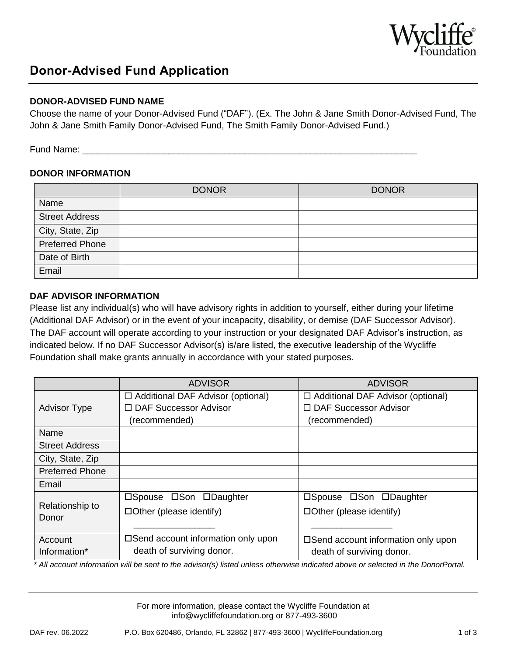

# **Donor-Advised Fund Application**

### **DONOR-ADVISED FUND NAME**

Choose the name of your Donor-Advised Fund ("DAF"). (Ex. The John & Jane Smith Donor-Advised Fund, The John & Jane Smith Family Donor-Advised Fund, The Smith Family Donor-Advised Fund.)

Fund Name:

#### **DONOR INFORMATION**

|                        | <b>DONOR</b> | <b>DONOR</b> |
|------------------------|--------------|--------------|
| Name                   |              |              |
| <b>Street Address</b>  |              |              |
| City, State, Zip       |              |              |
| <b>Preferred Phone</b> |              |              |
| Date of Birth          |              |              |
| Email                  |              |              |

#### **DAF ADVISOR INFORMATION**

Please list any individual(s) who will have advisory rights in addition to yourself, either during your lifetime (Additional DAF Advisor) or in the event of your incapacity, disability, or demise (DAF Successor Advisor). The DAF account will operate according to your instruction or your designated DAF Advisor's instruction, as indicated below. If no DAF Successor Advisor(s) is/are listed, the executive leadership of the Wycliffe Foundation shall make grants annually in accordance with your stated purposes.

|                          | <b>ADVISOR</b>                                                                       | <b>ADVISOR</b>                                                                       |
|--------------------------|--------------------------------------------------------------------------------------|--------------------------------------------------------------------------------------|
| <b>Advisor Type</b>      | $\Box$ Additional DAF Advisor (optional)<br>□ DAF Successor Advisor<br>(recommended) | $\Box$ Additional DAF Advisor (optional)<br>□ DAF Successor Advisor<br>(recommended) |
| Name                     |                                                                                      |                                                                                      |
| <b>Street Address</b>    |                                                                                      |                                                                                      |
| City, State, Zip         |                                                                                      |                                                                                      |
| <b>Preferred Phone</b>   |                                                                                      |                                                                                      |
| Email                    |                                                                                      |                                                                                      |
| Relationship to<br>Donor | □Spouse □Son □Daughter<br>$\Box$ Other (please identify)                             | □Spouse □Son □Daughter<br>$\Box$ Other (please identify)                             |
| Account<br>Information*  | □ Send account information only upon<br>death of surviving donor.                    | □Send account information only upon<br>death of surviving donor.                     |

*\* All account information will be sent to the advisor(s) listed unless otherwise indicated above or selected in the DonorPortal.*

For more information, please contact the Wycliffe Foundation at info@wycliffefoundation.org or 877-493-3600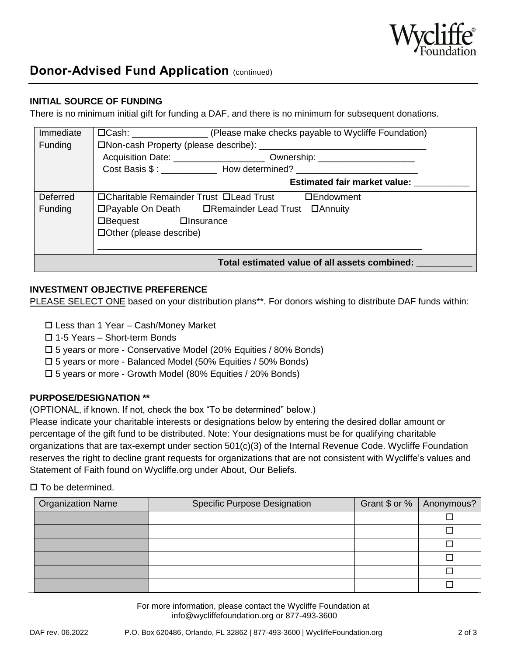

## **Donor-Advised Fund Application (continued)**

#### **INITIAL SOURCE OF FUNDING**

There is no minimum initial gift for funding a DAF, and there is no minimum for subsequent donations.

| Immediate                                     | □Cash: __________________(Please make checks payable to Wycliffe Foundation)      |  |
|-----------------------------------------------|-----------------------------------------------------------------------------------|--|
| Funding                                       |                                                                                   |  |
|                                               | Acquisition Date: _________________________ Ownership: _________________________  |  |
|                                               | Cost Basis \$: ______________ How determined? ___________________________________ |  |
|                                               | <b>Estimated fair market value:</b>                                               |  |
| Deferred                                      | □Charitable Remainder Trust □Lead Trust<br>□Endowment                             |  |
| Funding                                       | □Payable On Death □ Remainder Lead Trust □ Annuity                                |  |
|                                               | □Bequest □Insurance                                                               |  |
|                                               | □Other (please describe)                                                          |  |
|                                               |                                                                                   |  |
| Total estimated value of all assets combined: |                                                                                   |  |

#### **INVESTMENT OBJECTIVE PREFERENCE**

PLEASE SELECT ONE based on your distribution plans\*\*. For donors wishing to distribute DAF funds within:

- Less than 1 Year Cash/Money Market
- 1-5 Years Short-term Bonds
- 5 years or more Conservative Model (20% Equities / 80% Bonds)
- 5 years or more Balanced Model (50% Equities / 50% Bonds)
- 5 years or more Growth Model (80% Equities / 20% Bonds)

#### **PURPOSE/DESIGNATION \*\***

(OPTIONAL, if known. If not, check the box "To be determined" below.)

Please indicate your charitable interests or designations below by entering the desired dollar amount or percentage of the gift fund to be distributed. Note: Your designations must be for qualifying charitable organizations that are tax-exempt under section 501(c)(3) of the Internal Revenue Code. Wycliffe Foundation reserves the right to decline grant requests for organizations that are not consistent with Wycliffe's values and Statement of Faith found on Wycliffe.org under About, Our Beliefs.

#### $\square$  To be determined.

| <b>Organization Name</b> | <b>Specific Purpose Designation</b> | Grant \$ or % | Anonymous? |
|--------------------------|-------------------------------------|---------------|------------|
|                          |                                     |               |            |
|                          |                                     |               |            |
|                          |                                     |               |            |
|                          |                                     |               |            |
|                          |                                     |               |            |
|                          |                                     |               |            |

For more information, please contact the Wycliffe Foundation at info@wycliffefoundation.org or 877-493-3600